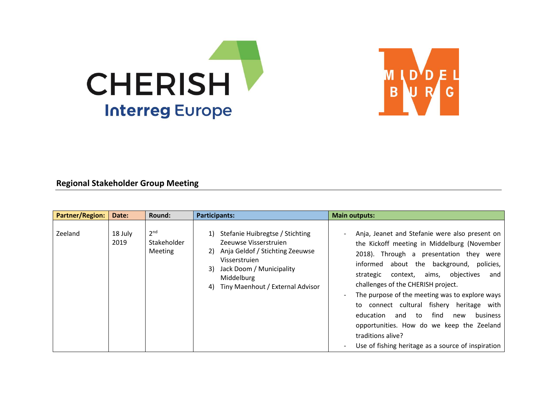



## **Regional Stakeholder Group Meeting**

| <b>Partner/Region:</b> | Date:           | Round:                                           | <b>Participants:</b>                                                                                                                                                                                         | <b>Main outputs:</b>                                                                                                                                                                                                                                                                                                                                                                                                                                                                                                                                                       |
|------------------------|-----------------|--------------------------------------------------|--------------------------------------------------------------------------------------------------------------------------------------------------------------------------------------------------------------|----------------------------------------------------------------------------------------------------------------------------------------------------------------------------------------------------------------------------------------------------------------------------------------------------------------------------------------------------------------------------------------------------------------------------------------------------------------------------------------------------------------------------------------------------------------------------|
| Zeeland                | 18 July<br>2019 | 2 <sup>nd</sup><br>Stakeholder<br><b>Meeting</b> | Stefanie Huibregtse / Stichting<br>Zeeuwse Visserstruien<br>Anja Geldof / Stichting Zeeuwse<br>2)<br>Visserstruien<br>Jack Doom / Municipality<br>3)<br>Middelburg<br>Tiny Maenhout / External Advisor<br>4) | Anja, Jeanet and Stefanie were also present on<br>the Kickoff meeting in Middelburg (November<br>2018). Through a presentation they were<br>about the background,<br>informed<br>policies,<br>objectives<br>strategic<br>context,<br>aims,<br>and<br>challenges of the CHERISH project.<br>The purpose of the meeting was to explore ways<br>to connect cultural fishery heritage with<br>find<br>education<br>to<br><b>business</b><br>and<br>new<br>opportunities. How do we keep the Zeeland<br>traditions alive?<br>Use of fishing heritage as a source of inspiration |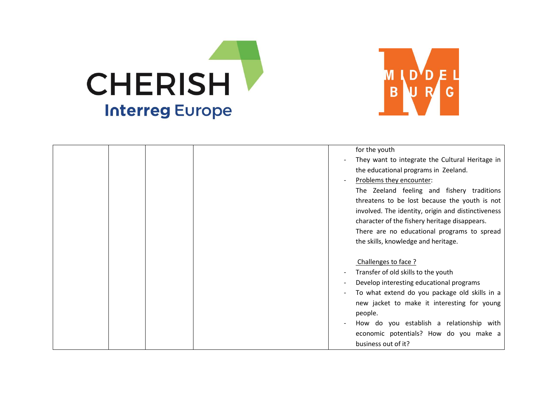



| They want to integrate the Cultural Heritage in    |
|----------------------------------------------------|
|                                                    |
|                                                    |
| The Zeeland feeling and fishery traditions         |
| threatens to be lost because the youth is not      |
| involved. The identity, origin and distinctiveness |
| character of the fishery heritage disappears.      |
| There are no educational programs to spread        |
|                                                    |
|                                                    |
|                                                    |
|                                                    |
|                                                    |
|                                                    |
| To what extend do you package old skills in a      |
| new jacket to make it interesting for young        |
|                                                    |
| How do you establish a relationship with           |
| economic potentials? How do you make a             |
|                                                    |
| Develop interesting educational programs           |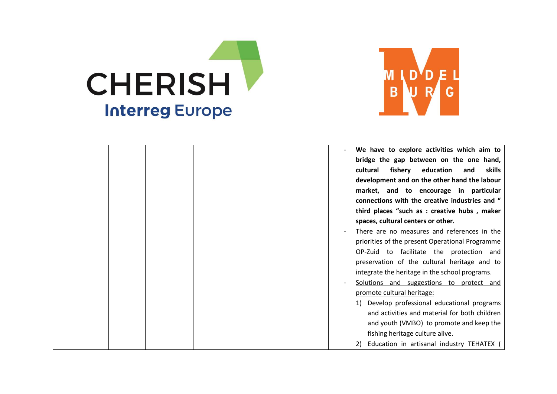



|  |  | We have to explore activities which aim to                                   |
|--|--|------------------------------------------------------------------------------|
|  |  | bridge the gap between on the one hand,                                      |
|  |  | education<br>cultural<br>fishery<br>and<br>skills                            |
|  |  | development and on the other hand the labour                                 |
|  |  | market, and to encourage in particular                                       |
|  |  | connections with the creative industries and "                               |
|  |  | third places "such as : creative hubs, maker                                 |
|  |  | spaces, cultural centers or other.                                           |
|  |  | There are no measures and references in the                                  |
|  |  | priorities of the present Operational Programme                              |
|  |  | OP-Zuid to facilitate the protection and                                     |
|  |  | preservation of the cultural heritage and to                                 |
|  |  | integrate the heritage in the school programs.                               |
|  |  | Solutions and suggestions to protect and                                     |
|  |  | promote cultural heritage:                                                   |
|  |  | 1) Develop professional educational programs                                 |
|  |  | and activities and material for both children                                |
|  |  | and youth (VMBO) to promote and keep the                                     |
|  |  |                                                                              |
|  |  |                                                                              |
|  |  | fishing heritage culture alive.<br>Education in artisanal industry TEHATEX ( |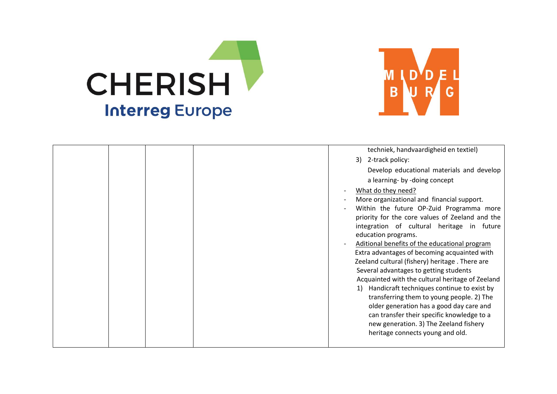



|  |  | techniek, handvaardigheid en textiel)<br>3) 2-track policy:<br>Develop educational materials and develop<br>a learning- by -doing concept<br>What do they need?<br>More organizational and financial support.<br>Within the future OP-Zuid Programma more<br>priority for the core values of Zeeland and the<br>integration of cultural heritage in future<br>education programs.<br>Aditional benefits of the educational program<br>Extra advantages of becoming acquainted with<br>Zeeland cultural (fishery) heritage. There are<br>Several advantages to getting students<br>Acquainted with the cultural heritage of Zeeland<br>Handicraft techniques continue to exist by<br>1)<br>transferring them to young people. 2) The<br>older generation has a good day care and<br>can transfer their specific knowledge to a |
|--|--|-------------------------------------------------------------------------------------------------------------------------------------------------------------------------------------------------------------------------------------------------------------------------------------------------------------------------------------------------------------------------------------------------------------------------------------------------------------------------------------------------------------------------------------------------------------------------------------------------------------------------------------------------------------------------------------------------------------------------------------------------------------------------------------------------------------------------------|
|  |  | new generation. 3) The Zeeland fishery<br>heritage connects young and old.                                                                                                                                                                                                                                                                                                                                                                                                                                                                                                                                                                                                                                                                                                                                                    |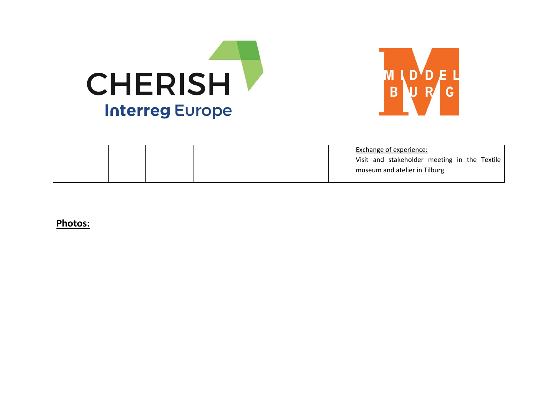



|  |  | Exchange of experience:                      |
|--|--|----------------------------------------------|
|  |  | Visit and stakeholder meeting in the Textile |
|  |  | museum and atelier in Tilburg                |
|  |  |                                              |

**Photos:**